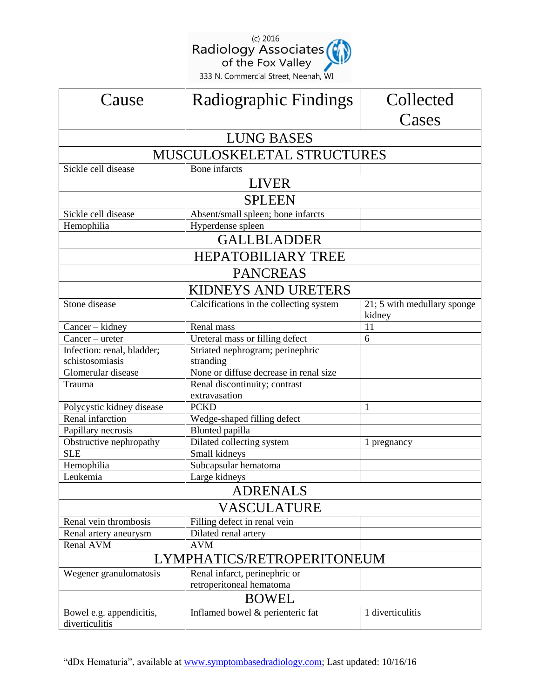(c) 2016<br>
Radiology Associates<br>
of the Fox Valley<br>
333 N. Commercial Street, Neenah, WI

| Cause                                         | Radiographic Findings                      | Collected                             |  |
|-----------------------------------------------|--------------------------------------------|---------------------------------------|--|
|                                               |                                            | Cases                                 |  |
| <b>LUNG BASES</b>                             |                                            |                                       |  |
| MUSCULOSKELETAL STRUCTURES                    |                                            |                                       |  |
| Sickle cell disease                           | <b>Bone</b> infarcts                       |                                       |  |
| <b>LIVER</b>                                  |                                            |                                       |  |
| <b>SPLEEN</b>                                 |                                            |                                       |  |
| Sickle cell disease                           | Absent/small spleen; bone infarcts         |                                       |  |
| Hemophilia                                    | Hyperdense spleen                          |                                       |  |
| <b>GALLBLADDER</b>                            |                                            |                                       |  |
| HEPATOBILIARY TREE                            |                                            |                                       |  |
| <b>PANCREAS</b>                               |                                            |                                       |  |
| <b>KIDNEYS AND URETERS</b>                    |                                            |                                       |  |
| Stone disease                                 | Calcifications in the collecting system    | 21; 5 with medullary sponge<br>kidney |  |
| Cancer – kidney                               | Renal mass                                 | 11                                    |  |
| $Cancer - ureter$                             | Ureteral mass or filling defect            | 6                                     |  |
| Infection: renal, bladder;                    | Striated nephrogram; perinephric           |                                       |  |
| schistosomiasis                               | stranding                                  |                                       |  |
| Glomerular disease                            | None or diffuse decrease in renal size     |                                       |  |
| Trauma                                        | Renal discontinuity; contrast              |                                       |  |
|                                               | extravasation                              |                                       |  |
| Polycystic kidney disease<br>Renal infarction | <b>PCKD</b><br>Wedge-shaped filling defect | 1                                     |  |
| Papillary necrosis                            | Blunted papilla                            |                                       |  |
| Obstructive nephropathy                       | Dilated collecting system                  |                                       |  |
| <b>SLE</b>                                    | Small kidneys                              | 1 pregnancy                           |  |
| Hemophilia                                    | Subcapsular hematoma                       |                                       |  |
| Leukemia                                      | Large kidneys                              |                                       |  |
| <b>ADRENALS</b>                               |                                            |                                       |  |
| VASCULATURE                                   |                                            |                                       |  |
| Renal vein thrombosis                         | Filling defect in renal vein               |                                       |  |
| Renal artery aneurysm                         | Dilated renal artery                       |                                       |  |
| Renal AVM                                     | <b>AVM</b>                                 |                                       |  |
| LYMPHATICS/RETROPERITONEUM                    |                                            |                                       |  |
| Wegener granulomatosis                        | Renal infarct, perinephric or              |                                       |  |
|                                               | retroperitoneal hematoma                   |                                       |  |
| <b>BOWEL</b>                                  |                                            |                                       |  |
| Bowel e.g. appendicitis,<br>diverticulitis    | Inflamed bowel & perienteric fat           | 1 diverticulitis                      |  |

"dDx Hematuria", available at [www.symptombasedradiology.com;](http://www.symptombasedradiology.com/) Last updated: 10/16/16